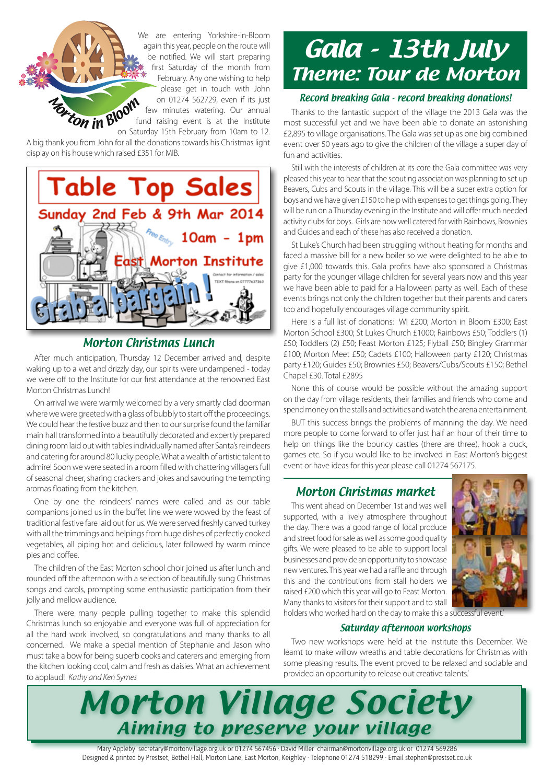**Marton in Bloom** We are entering Yorkshire-in-Bloom again this year, people on the route will be notified. We will start preparing first Saturday of the month from February. Any one wishing to help please get in touch with John on 01274 562729, even if its just few minutes watering. Our annual fund raising event is at the Institute on Saturday 15th February from 10am to 12.

A big thank you from John for all the donations towards his Christmas light display on his house which raised £351 for MIB.



## Morton Christmas Lunch

After much anticipation, Thursday 12 December arrived and, despite waking up to a wet and drizzly day, our spirits were undampened - today we were off to the Institute for our first attendance at the renowned East Morton Christmas Lunch!

On arrival we were warmly welcomed by a very smartly clad doorman where we were greeted with a glass of bubbly to start off the proceedings. We could hear the festive buzz and then to our surprise found the familiar main hall transformed into a beautifully decorated and expertly prepared dining room laid out with tables individually named after Santa's reindeers and catering for around 80 lucky people. What a wealth of artistic talent to admire! Soon we were seated in a room filled with chattering villagers full of seasonal cheer, sharing crackers and jokes and savouring the tempting aromas floating from the kitchen.

One by one the reindeers' names were called and as our table companions joined us in the buffet line we were wowed by the feast of traditional festive fare laid out for us. We were served freshly carved turkey with all the trimmings and helpings from huge dishes of perfectly cooked vegetables, all piping hot and delicious, later followed by warm mince pies and coffee.

The children of the East Morton school choir joined us after lunch and rounded off the afternoon with a selection of beautifully sung Christmas songs and carols, prompting some enthusiastic participation from their jolly and mellow audience.

There were many people pulling together to make this splendid Christmas lunch so enjoyable and everyone was full of appreciation for all the hard work involved, so congratulations and many thanks to all concerned. We make a special mention of Stephanie and Jason who must take a bow for being superb cooks and caterers and emerging from the kitchen looking cool, calm and fresh as daisies. What an achievement to applaud! *Kathy and Ken Symes*

# Gala - 13th July Theme: Tour de Morton

## Record breaking Gala - record breaking donations!

Thanks to the fantastic support of the village the 2013 Gala was the most successful yet and we have been able to donate an astonishing £2,895 to village organisations. The Gala was set up as one big combined event over 50 years ago to give the children of the village a super day of fun and activities.

Still with the interests of children at its core the Gala committee was very pleased this year to hear that the scouting association was planning to set up Beavers, Cubs and Scouts in the village. This will be a super extra option for boys and we have given £150 to help with expenses to get things going. They will be run on a Thursday evening in the Institute and will offer much needed activity clubs for boys. Girls are now well catered for with Rainbows, Brownies and Guides and each of these has also received a donation.

St Luke's Church had been struggling without heating for months and faced a massive bill for a new boiler so we were delighted to be able to give £1,000 towards this. Gala profits have also sponsored a Christmas party for the younger village children for several years now and this year we have been able to paid for a Halloween party as well. Each of these events brings not only the children together but their parents and carers too and hopefully encourages village community spirit.

Here is a full list of donations: WI £200; Morton in Bloom £300; East Morton School £300; St Lukes Church £1000; Rainbows £50; Toddlers (1) £50; Toddlers (2) £50; Feast Morton £125; Flyball £50; Bingley Grammar £100; Morton Meet £50; Cadets £100; Halloween party £120; Christmas party £120; Guides £50; Brownies £50; Beavers/Cubs/Scouts £150; Bethel Chapel £30. Total £2895

None this of course would be possible without the amazing support on the day from village residents, their families and friends who come and spend money on the stalls and activities and watch the arena entertainment.

BUT this success brings the problems of manning the day. We need more people to come forward to offer just half an hour of their time to help on things like the bouncy castles (there are three), hook a duck, games etc. So if you would like to be involved in East Morton's biggest event or have ideas for this year please call 01274 567175.

## Morton Christmas market

This went ahead on December 1st and was well supported, with a lively atmosphere throughout the day. There was a good range of local produce and street food for sale as well as some good quality gifts. We were pleased to be able to support local businesses and provide an opportunity to showcase new ventures. This year we had a raffle and through this and the contributions from stall holders we raised £200 which this year will go to Feast Morton. Many thanks to visitors for their support and to stall holders who worked hard on the day to make this a successful event.'



## Saturday afternoon workshops

Two new workshops were held at the Institute this December. We learnt to make willow wreaths and table decorations for Christmas with some pleasing results. The event proved to be relaxed and sociable and provided an opportunity to release out creative talents.'



Mary Appleby secretary@mortonvillage.org.uk or 01274 567456 · David Miller chairman@mortonvillage.org.uk or 01274 569286 Designed & printed by Prestset, Bethel Hall, Morton Lane, East Morton, Keighley · Telephone 01274 518299 · Email stephen@prestset.co.uk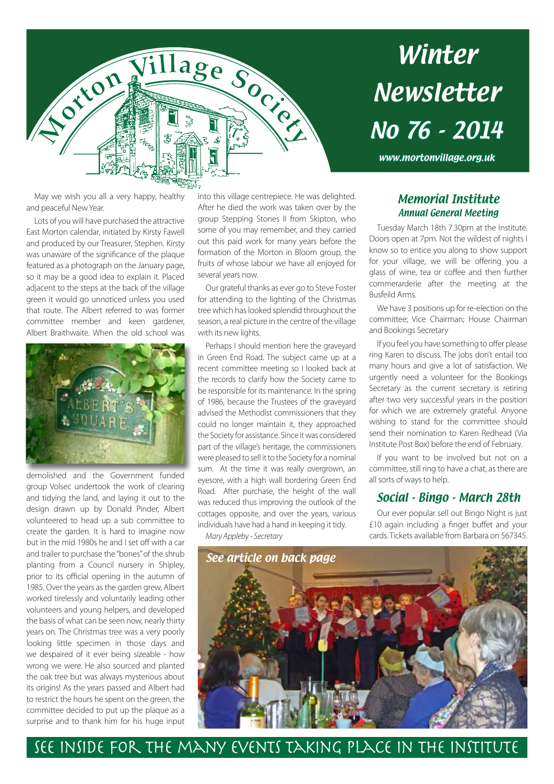

# Winter Newsletter No 76 - 2014

www.mortonvillage.org.uk

May we wish you all a very happy, healthy and peaceful New Year.

Lots of you will have purchased the attractive East Morton calendar, initiated by Kirsty Fawell and produced by our Treasurer, Stephen. Kirsty was unaware of the significance of the plaque featured as a photograph on the January page, so it may be a good idea to explain it. Placed adjacent to the steps at the back of the village green it would go unnoticed unless you used that route. The Albert referred to was former committee member and keen gardener, Albert Braithwaite. When the old school was



demolished and the Government funded group Volsec undertook the work of clearing and tidying the land, and laying it out to the design drawn up by Donald Pinder, Albert volunteered to head up a sub committee to create the garden. It is hard to imagine now but in the mid 1980s he and I set off with a car and trailer to purchase the "bones" of the shrub planting from a Council nursery in Shipley, prior to its official opening in the autumn of 1985. Over the years as the garden grew, Albert worked tirelessly and voluntarily leading other volunteers and young helpers, and developed the basis of what can be seen now, nearly thirty years on. The Christmas tree was a very poorly looking little specimen in those days and we despaired of it ever being sizeable - how wrong we were. He also sourced and planted the oak tree but was always mysterious about its origins! As the years passed and Albert had to restrict the hours he spent on the green, the committee decided to put up the plaque as a surprise and to thank him for his huge input

into this village centrepiece. He was delighted. After he died the work was taken over by the group Stepping Stones II from Skipton, who some of you may remember, and they carried out this paid work for many years before the formation of the Morton in Bloom group, the fruits of whose labour we have all enjoyed for several years now.

Our grateful thanks as ever go to Steve Foster for attending to the lighting of the Christmas tree which has looked splendid throughout the season, a real picture in the centre of the village with its new lights.

Perhaps I should mention here the graveyard in Green End Road. The subject came up at a recent committee meeting so I looked back at the records to clarify how the Society came to be responsible for its maintenance. In the spring of 1986, because the Trustees of the graveyard advised the Methodist commissioners that they could no longer maintain it, they approached the Society for assistance. Since it was considered part of the village's heritage, the commissioners were pleased to sell it to the Society for a nominal sum. At the time it was really overgrown, an eyesore, with a high wall bordering Green End Road. After purchase, the height of the wall was reduced thus improving the outlook of the cottages opposite, and over the years, various individuals have had a hand in keeping it tidy.

*Mary Appleby - Secretary* 

## Memorial Institute Annual General Meeting

Tuesday March 18th 7.30pm at the Institute. Doors open at 7pm. Not the wildest of nights I know so to entice you along to show support for your village, we will be offering you a glass of wine, tea or coffee and then further commerarderie after the meeting at the Busfeild Arms.

We have 3 positions up for re-election on the committee; Vice Chairman; House Chairman and Bookings Secretary

If you feel you have something to offer please ring Karen to discuss. The jobs don't entail too many hours and give a lot of satisfaction. We urgently need a volunteer for the Bookings Secretary as the current secretary is retiring after two very successful years in the position for which we are extremely grateful. Anyone wishing to stand for the committee should send their nomination to Karen Redhead (Via Institute Post Box) before the end of February.

If you want to be involved but not on a committee, still ring to have a chat, as there are all sorts of ways to help.

## Social - Bingo - March 28th

Our ever popular sell out Bingo Night is just £10 again including a finger buffet and your cards. Tickets available from Barbara on 567345.



See inside for the many events taking place in the Institute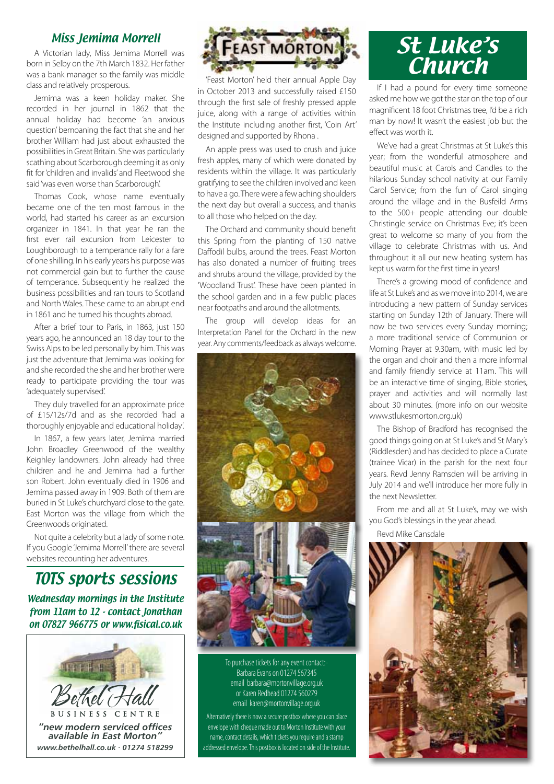## Miss Jemima Morrell

A Victorian lady, Miss Jemima Morrell was born in Selby on the 7th March 1832. Her father was a bank manager so the family was middle class and relatively prosperous.

Jemima was a keen holiday maker. She recorded in her journal in 1862 that the annual holiday had become 'an anxious question' bemoaning the fact that she and her brother William had just about exhausted the possibilities in Great Britain. She was particularly scathing about Scarborough deeming it as only fit for 'children and invalids' and Fleetwood she said 'was even worse than Scarborough'.

Thomas Cook, whose name eventually became one of the ten most famous in the world, had started his career as an excursion organizer in 1841. In that year he ran the first ever rail excursion from Leicester to Loughborough to a temperance rally for a fare of one shilling. In his early years his purpose was not commercial gain but to further the cause of temperance. Subsequently he realized the business possibilities and ran tours to Scotland and North Wales. These came to an abrupt end in 1861 and he turned his thoughts abroad.

After a brief tour to Paris, in 1863, just 150 years ago, he announced an 18 day tour to the Swiss Alps to be led personally by him. This was just the adventure that Jemima was looking for and she recorded the she and her brother were ready to participate providing the tour was 'adequately supervised'.

They duly travelled for an approximate price of £15/12s/7d and as she recorded 'had a thoroughly enjoyable and educational holiday'.

In 1867, a few years later, Jemima married John Broadley Greenwood of the wealthy Keighley landowners. John already had three children and he and Jemima had a further son Robert. John eventually died in 1906 and Jemima passed away in 1909. Both of them are buried in St Luke's churchyard close to the gate. East Morton was the village from which the Greenwoods originated.

Not quite a celebrity but a lady of some note. If you Google 'Jemima Morrell' there are several websites recounting her adventures.

## TOTS sports sessions

Wednesday mornings in the Institute from 11am to 12 - contact Jonathan on 07827 966775 or www.fisical.co.uk





'Feast Morton' held their annual Apple Day in October 2013 and successfully raised £150 through the first sale of freshly pressed apple juice, along with a range of activities within the Institute including another first, 'Coin Art' designed and supported by Rhona .

An apple press was used to crush and juice fresh apples, many of which were donated by residents within the village. It was particularly gratifying to see the children involved and keen to have a go. There were a few aching shoulders the next day but overall a success, and thanks to all those who helped on the day.

The Orchard and community should benefit this Spring from the planting of 150 native Daffodil bulbs, around the trees. Feast Morton has also donated a number of fruiting trees and shrubs around the village, provided by the 'Woodland Trust'. These have been planted in the school garden and in a few public places near footpaths and around the allotments.

The group will develop ideas for an Interpretation Panel for the Orchard in the new year. Any comments/feedback as always welcome.



To purchase tickets for any event contact:- Barbara Evans on 01274 567345 email barbara@mortonvillage.org.uk or Karen Redhead 01274 560279 email karen@mortonvillage.org.uk

Alternatively there is now a secure postbox where you can place envelope with cheque made out to Morton Institute with your name, contact details, which tickets you require and a stamp addressed envelope. This postbox is located on side of the Institute.

## St Luke's **Church**

If I had a pound for every time someone asked me how we got the star on the top of our magnificent 18 foot Christmas tree, I'd be a rich man by now! It wasn't the easiest job but the effect was worth it.

We've had a great Christmas at St Luke's this year; from the wonderful atmosphere and beautiful music at Carols and Candles to the hilarious Sunday school nativity at our Family Carol Service; from the fun of Carol singing around the village and in the Busfeild Arms to the 500+ people attending our double Christingle service on Christmas Eve; it's been great to welcome so many of you from the village to celebrate Christmas with us. And throughout it all our new heating system has kept us warm for the first time in years!

There's a growing mood of confidence and life at St Luke's and as we move into 2014, we are introducing a new pattern of Sunday services starting on Sunday 12th of January. There will now be two services every Sunday morning; a more traditional service of Communion or Morning Prayer at 9.30am, with music led by the organ and choir and then a more informal and family friendly service at 11am. This will be an interactive time of singing, Bible stories, prayer and activities and will normally last about 30 minutes. (more info on our website www.stlukesmorton.org.uk)

The Bishop of Bradford has recognised the good things going on at St Luke's and St Mary's (Riddlesden) and has decided to place a Curate (trainee Vicar) in the parish for the next four years. Revd Jenny Ramsden will be arriving in July 2014 and we'll introduce her more fully in the next Newsletter.

From me and all at St Luke's, may we wish you God's blessings in the year ahead. Revd Mike Cansdale